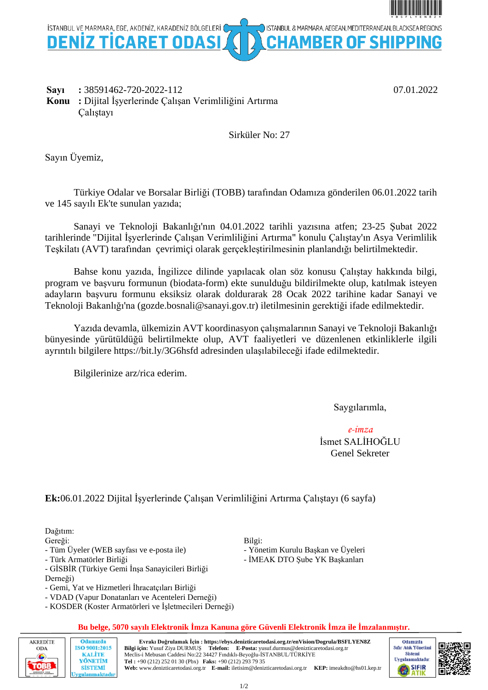

**Sayı :** 38591462-720-2022-112 07.01.2022 **Konu :** Dijital İşyerlerinde Çalışan Verimliliğini Artırma Çalıştayı

Sirküler No: 27

Sayın Üyemiz,

Türkiye Odalar ve Borsalar Birliği (TOBB) tarafından Odamıza gönderilen 06.01.2022 tarih ve 145 sayılı Ek'te sunulan yazıda;

Sanayi ve Teknoloji Bakanlığı'nın 04.01.2022 tarihli yazısına atfen; 23-25 Şubat 2022 tarihlerinde "Dijital İşyerlerinde Çalışan Verimliliğini Artırma" konulu Çalıştay'ın Asya Verimlilik Teşkilatı (AVT) tarafından çevrimiçi olarak gerçekleştirilmesinin planlandığı belirtilmektedir.

Bahse konu yazıda, İngilizce dilinde yapılacak olan söz konusu Çalıştay hakkında bilgi, program ve başvuru formunun (biodata-form) ekte sunulduğu bildirilmekte olup, katılmak isteyen adayların başvuru formunu eksiksiz olarak doldurarak 28 Ocak 2022 tarihine kadar Sanayi ve Teknoloji Bakanlığı'na (gozde.bosnali@sanayi.gov.tr) iletilmesinin gerektiği ifade edilmektedir.

Yazıda devamla, ülkemizin AVT koordinasyon çalışmalarının Sanayi ve Teknoloji Bakanlığı bünyesinde yürütüldüğü belirtilmekte olup, AVT faaliyetleri ve düzenlenen etkinliklerle ilgili ayrıntılı bilgilere https://bit.ly/3G6hsfd adresinden ulaşılabileceği ifade edilmektedir.

Bilgilerinize arz/rica ederim.

Saygılarımla,

*e-imza* İsmet SALİHOĞLU Genel Sekreter

# **Ek:**06.01.2022 Dijital İşyerlerinde Çalışan Verimliliğini Artırma Çalıştayı (6 sayfa)

Dağıtım:

Gereği:

- Tüm Üyeler (WEB sayfası ve e-posta ile)

- Türk Armatörler Birliği

- GİSBİR (Türkiye Gemi İnşa Sanayicileri Birliği
- Derneği)
- Gemi, Yat ve Hizmetleri İhracatçıları Birliği
- VDAD (Vapur Donatanları ve Acenteleri Derneği)
- KOSDER (Koster Armatörleri ve İşletmecileri Derneği)

### **Bu belge, 5070 sayılı Elektronik İmza Kanuna göre Güvenli Elektronik İmza ile İmzalanmıştır.**

Bilgi:

- Yönetim Kurulu Başkan ve Üyeleri - İMEAK DTO Şube YK Başkanları



1/2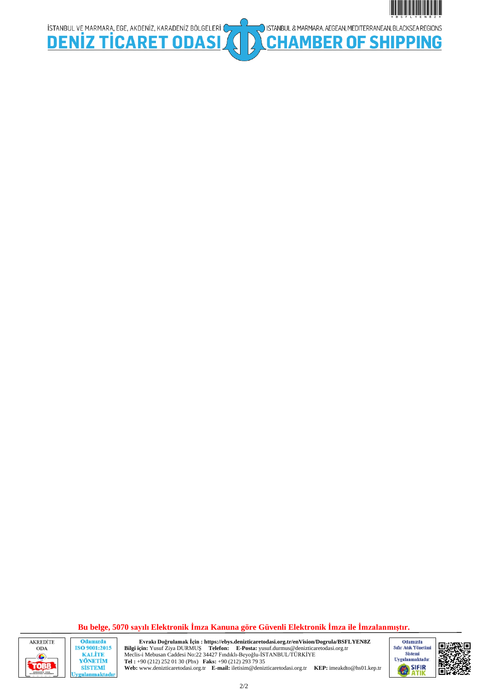



Odamızda ISO 9001:2015 **KALITE** YÖNETİM **SİSTEMİ** ygulanmaktadır

ISTANBUL VE MARMARA, EGE, AKDENIZ, KARADENIZ BÖLGELERI CHRISTING TURA RET ODASI

**Evrakı Doğrulamak İçin : https://ebys.denizticaretodasi.org.tr/enVision/Dogrula/BSFLYEN8Z Bilgi için:** Yusuf Ziya DURMUŞ **Telefon: E-Posta:** yusuf.durmus@denizticaretodasi.org.tr Meclis-i Mebusan Caddesi No:22 34427 Fındıklı-Beyoğlu-İSTANBUL/TÜRKİYE **Tel :** +90 (212) 252 01 30 (Pbx) **Faks:** +90 (212) 293 79 35 **Web:** www.denizticaretodasi.org.tr **E-mail:** iletisim@denizticaretodasi.org.tr **KEP:** imeakdto@hs01.kep.tr



\*BSFLYEN8Z\*

ISTANBUL & MARMARA, AEGEAN, MEDITERRANEAN, BLACKSEA REGIONS

**MBER OF SHIPPING** 



2/2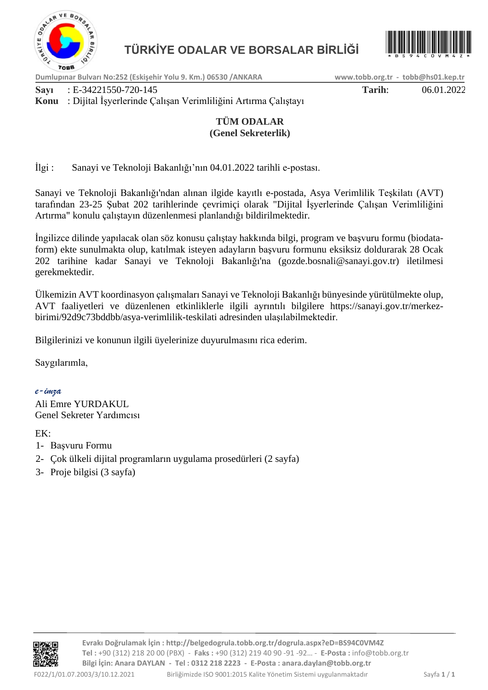



**Dumlupınar Bulvarı No:252 (Eskişehir Yolu 9. Km.) 06530 /ANKARA www.tobb.org.tr - tobb@hs01.kep.tr**

**Sayı** : E-34221550-720-145 **Tarih**: 06.01.2022

# **Konu** : Dijital İşyerlerinde Çalışan Verimliliğini Artırma Çalıştayı

# **TÜM ODALAR (Genel Sekreterlik)**

İlgi : Sanayi ve Teknoloji Bakanlığı'nın 04.01.2022 tarihli e-postası.

Sanayi ve Teknoloji Bakanlığı'ndan alınan ilgide kayıtlı e-postada, Asya Verimlilik Teşkilatı (AVT) tarafından 23-25 Şubat 202 tarihlerinde çevrimiçi olarak "Dijital İşyerlerinde Çalışan Verimliliğini Artırma" konulu çalıştayın düzenlenmesi planlandığı bildirilmektedir.

İngilizce dilinde yapılacak olan söz konusu çalıştay hakkında bilgi, program ve başvuru formu (biodataform) ekte sunulmakta olup, katılmak isteyen adayların başvuru formunu eksiksiz doldurarak 28 Ocak 202 tarihine kadar Sanayi ve Teknoloji Bakanlığı'na (gozde.bosnali@sanayi.gov.tr) iletilmesi gerekmektedir.

Ülkemizin AVT koordinasyon çalışmaları Sanayi ve Teknoloji Bakanlığı bünyesinde yürütülmekte olup, AVT faaliyetleri ve düzenlenen etkinliklerle ilgili ayrıntılı bilgilere https://sanayi.gov.tr/merkezbirimi/92d9c73bddbb/asya-verimlilik-teskilati adresinden ulaşılabilmektedir.

Bilgilerinizi ve konunun ilgili üyelerinize duyurulmasını rica ederim.

Saygılarımla,

*e-imza*

Ali Emre YURDAKUL Genel Sekreter Yardımcısı

EK:

- 1- Başvuru Formu
- 2- Çok ülkeli dijital programların uygulama prosedürleri (2 sayfa)
- 3- Proje bilgisi (3 sayfa)

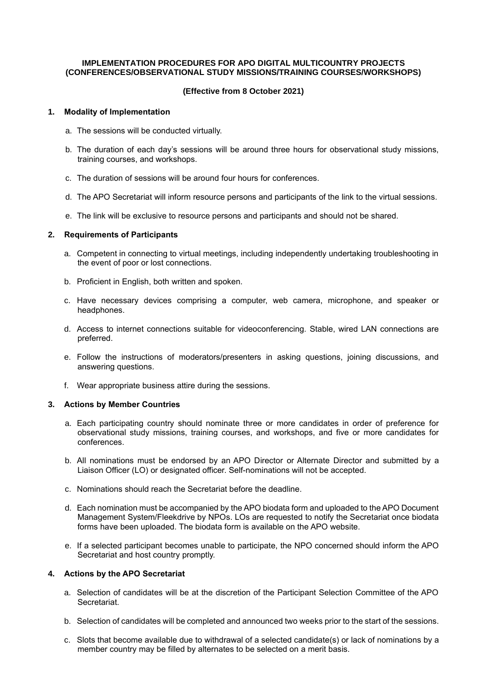### **IMPLEMENTATION PROCEDURES FOR APO DIGITAL MULTICOUNTRY PROJECTS (CONFERENCES/OBSERVATIONAL STUDY MISSIONS/TRAINING COURSES/WORKSHOPS)**

## **(Effective from 8 October 2021)**

### **1. Modality of Implementation**

- a. The sessions will be conducted virtually.
- b. The duration of each day's sessions will be around three hours for observational study missions, training courses, and workshops.
- c. The duration of sessions will be around four hours for conferences.
- d. The APO Secretariat will inform resource persons and participants of the link to the virtual sessions.
- e. The link will be exclusive to resource persons and participants and should not be shared.

### **2. Requirements of Participants**

- a. Competent in connecting to virtual meetings, including independently undertaking troubleshooting in the event of poor or lost connections.
- b. Proficient in English, both written and spoken.
- c. Have necessary devices comprising a computer, web camera, microphone, and speaker or headphones.
- d. Access to internet connections suitable for videoconferencing. Stable, wired LAN connections are preferred.
- e. Follow the instructions of moderators/presenters in asking questions, joining discussions, and answering questions.
- f. Wear appropriate business attire during the sessions.

### **3. Actions by Member Countries**

- a. Each participating country should nominate three or more candidates in order of preference for observational study missions, training courses, and workshops, and five or more candidates for conferences.
- b. All nominations must be endorsed by an APO Director or Alternate Director and submitted by a Liaison Officer (LO) or designated officer. Self-nominations will not be accepted.
- c. Nominations should reach the Secretariat before the deadline.
- d. Each nomination must be accompanied by the APO biodata form and uploaded to the APO Document Management System/Fleekdrive by NPOs. LOs are requested to notify the Secretariat once biodata forms have been uploaded. The biodata form is available on the APO website.
- e. If a selected participant becomes unable to participate, the NPO concerned should inform the APO Secretariat and host country promptly.

# **4. Actions by the APO Secretariat**

- a. Selection of candidates will be at the discretion of the Participant Selection Committee of the APO Secretariat.
- b. Selection of candidates will be completed and announced two weeks prior to the start of the sessions.
- c. Slots that become available due to withdrawal of a selected candidate(s) or lack of nominations by a member country may be filled by alternates to be selected on a merit basis.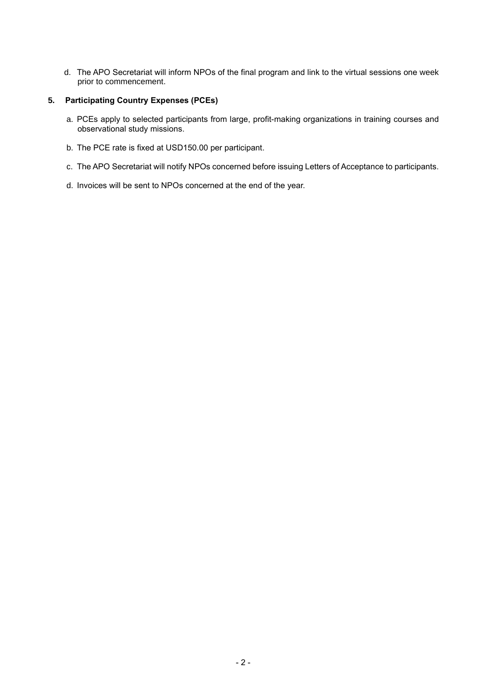d. The APO Secretariat will inform NPOs of the final program and link to the virtual sessions one week prior to commencement.

## **5. Participating Country Expenses (PCEs)**

- a. PCEs apply to selected participants from large, profit-making organizations in training courses and observational study missions.
- b. The PCE rate is fixed at USD150.00 per participant.
- c. The APO Secretariat will notify NPOs concerned before issuing Letters of Acceptance to participants.
- d. Invoices will be sent to NPOs concerned at the end of the year.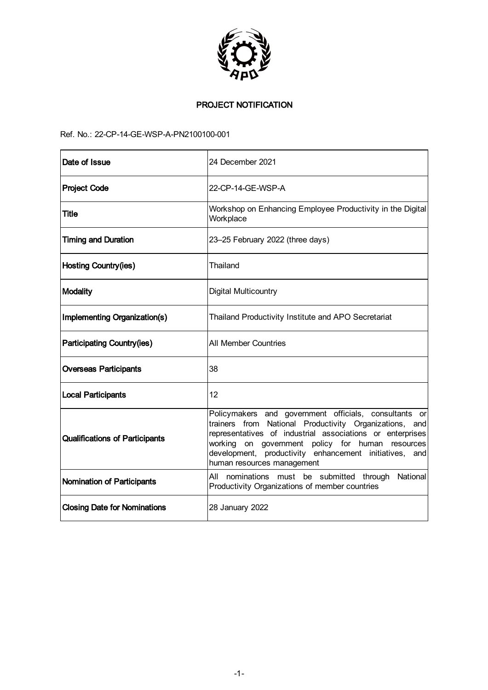

# PROJECT NOTIFICATION

# Ref. No.: 22-CP-14-GE-WSP-A-PN2100100-001

| Date of Issue                         | 24 December 2021                                                                                                                                                                                                                                                                                                            |
|---------------------------------------|-----------------------------------------------------------------------------------------------------------------------------------------------------------------------------------------------------------------------------------------------------------------------------------------------------------------------------|
| <b>Project Code</b>                   | 22-CP-14-GE-WSP-A                                                                                                                                                                                                                                                                                                           |
| Title                                 | Workshop on Enhancing Employee Productivity in the Digital<br>Workplace                                                                                                                                                                                                                                                     |
| <b>Timing and Duration</b>            | 23-25 February 2022 (three days)                                                                                                                                                                                                                                                                                            |
| <b>Hosting Country(ies)</b>           | Thailand                                                                                                                                                                                                                                                                                                                    |
| <b>Modality</b>                       | Digital Multicountry                                                                                                                                                                                                                                                                                                        |
| Implementing Organization(s)          | Thailand Productivity Institute and APO Secretariat                                                                                                                                                                                                                                                                         |
| <b>Participating Country(ies)</b>     | <b>All Member Countries</b>                                                                                                                                                                                                                                                                                                 |
| <b>Overseas Participants</b>          | 38                                                                                                                                                                                                                                                                                                                          |
| <b>Local Participants</b>             | 12                                                                                                                                                                                                                                                                                                                          |
| <b>Qualifications of Participants</b> | Policymakers and government officials, consultants or<br>trainers from National Productivity Organizations, and<br>representatives of industrial associations or enterprises<br>on government policy for human resources<br>working<br>development, productivity enhancement initiatives, and<br>human resources management |
| Nomination of Participants            | All nominations must be submitted through National<br>Productivity Organizations of member countries                                                                                                                                                                                                                        |
| <b>Closing Date for Nominations</b>   | 28 January 2022                                                                                                                                                                                                                                                                                                             |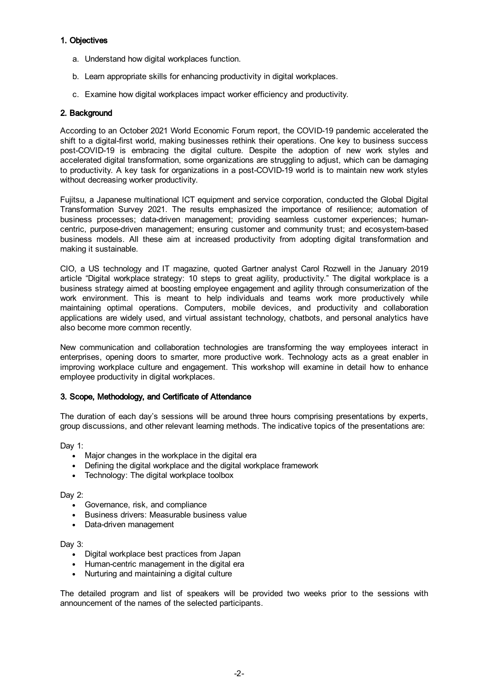# 1. Objectives

- a. Understand how digital workplaces function.
- b. Learn appropriate skills for enhancing productivity in digital workplaces.
- c. Examine how digital workplaces impact worker efficiency and productivity.

### 2. Background

According to an October 2021 World Economic Forum report, the COVID-19 pandemic accelerated the shift to a digital-first world, making businesses rethink their operations. One key to business success post-COVID-19 is embracing the digital culture. Despite the adoption of new work styles and accelerated digital transformation, some organizations are struggling to adjust, which can be damaging to productivity. A key task for organizations in a post-COVID-19 world is to maintain new work styles without decreasing worker productivity.

Fujitsu, a Japanese multinational ICT equipment and service corporation, conducted the Global Digital Transformation Survey 2021. The results emphasized the importance of resilience; automation of business processes; data-driven management; providing seamless customer experiences; humancentric, purpose-driven management; ensuring customer and community trust; and ecosystem-based business models. All these aim at increased productivity from adopting digital transformation and making it sustainable.

CIO, a US technology and IT magazine, quoted Gartner analyst Carol Rozwell in the January 2019 article "Digital workplace strategy: 10 steps to great agility, productivity." The digital workplace is a business strategy aimed at boosting employee engagement and agility through consumerization of the work environment. This is meant to help individuals and teams work more productively while maintaining optimal operations. Computers, mobile devices, and productivity and collaboration applications are widely used, and virtual assistant technology, chatbots, and personal analytics have also become more common recently.

New communication and collaboration technologies are transforming the way employees interact in enterprises, opening doors to smarter, more productive work. Technology acts as a great enabler in improving workplace culture and engagement. This workshop will examine in detail how to enhance employee productivity in digital workplaces.

# 3. Scope, Methodology, and Certificate of Attendance

The duration of each day's sessions will be around three hours comprising presentations by experts, group discussions, and other relevant learning methods. The indicative topics of the presentations are:

Dav 1:

- Major changes in the workplace in the digital era
- Defining the digital workplace and the digital workplace framework
- Technology: The digital workplace toolbox

Day 2:

- Governance, risk, and compliance
- **•** Business drivers: Measurable business value
- Data-driven management

Day 3:

- Digital workplace best practices from Japan
- Human-centric management in the digital era
- Nurturing and maintaining a digital culture

The detailed program and list of speakers will be provided two weeks prior to the sessions with announcement of the names of the selected participants.